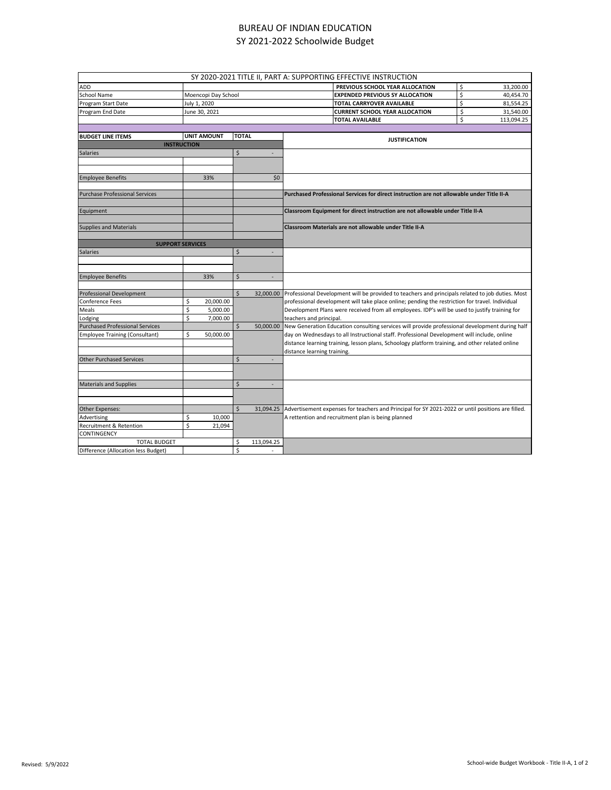## BUREAU OF INDIAN EDUCATION SY 2021-2022 Schoolwide Budget

|                                        |                     |              |                          | SY 2020-2021 TITLE II, PART A: SUPPORTING EFFECTIVE INSTRUCTION                                   |                  |
|----------------------------------------|---------------------|--------------|--------------------------|---------------------------------------------------------------------------------------------------|------------------|
|                                        |                     |              |                          |                                                                                                   |                  |
| ADD                                    |                     |              |                          | PREVIOUS SCHOOL YEAR ALLOCATION                                                                   | \$<br>33,200.00  |
| School Name                            | Moencopi Day School |              |                          | <b>EXPENDED PREVIOUS SY ALLOCATION</b>                                                            | \$<br>40,454.70  |
| Program Start Date                     | July 1, 2020        |              |                          | TOTAL CARRYOVER AVAILABLE                                                                         | \$<br>81,554.25  |
| Program End Date                       | June 30, 2021       |              |                          | <b>CURRENT SCHOOL YEAR ALLOCATION</b>                                                             | \$<br>31,540.00  |
|                                        |                     |              |                          | <b>TOTAL AVAILABLE</b>                                                                            | \$<br>113,094.25 |
|                                        |                     |              |                          |                                                                                                   |                  |
| <b>BUDGET LINE ITEMS</b>               | <b>UNIT AMOUNT</b>  | <b>TOTAL</b> |                          | <b>JUSTIFICATION</b>                                                                              |                  |
| <b>INSTRUCTION</b>                     |                     |              |                          |                                                                                                   |                  |
| <b>Salaries</b>                        |                     | \$           |                          |                                                                                                   |                  |
|                                        |                     |              |                          |                                                                                                   |                  |
|                                        |                     |              |                          |                                                                                                   |                  |
| <b>Employee Benefits</b>               | 33%                 |              | \$0                      |                                                                                                   |                  |
|                                        |                     |              |                          |                                                                                                   |                  |
| <b>Purchase Professional Services</b>  |                     |              |                          | Purchased Professional Services for direct instruction are not allowable under Title II-A         |                  |
|                                        |                     |              |                          |                                                                                                   |                  |
| Equipment                              |                     |              |                          | Classroom Equipment for direct instruction are not allowable under Title II-A                     |                  |
|                                        |                     |              |                          |                                                                                                   |                  |
| <b>Supplies and Materials</b>          |                     |              |                          | Classroom Materials are not allowable under Title II-A                                            |                  |
|                                        |                     |              |                          |                                                                                                   |                  |
| <b>SUPPORT SERVICES</b>                |                     |              |                          |                                                                                                   |                  |
| Salaries                               |                     |              | $\overline{\phantom{a}}$ |                                                                                                   |                  |
|                                        |                     |              |                          |                                                                                                   |                  |
|                                        |                     |              |                          |                                                                                                   |                  |
| <b>Employee Benefits</b>               | 33%                 | \$           | ٠                        |                                                                                                   |                  |
|                                        |                     |              |                          |                                                                                                   |                  |
| Professional Development               |                     | \$           | 32,000.00                | Professional Development will be provided to teachers and principals related to job duties. Most  |                  |
| Conference Fees                        | \$<br>20,000.00     |              |                          | professional development will take place online; pending the restriction for travel. Individual   |                  |
| Meals                                  | \$<br>5,000.00      |              |                          | Development Plans were received from all employees. IDP's will be used to justify training for    |                  |
| Lodging                                | \$<br>7,000.00      |              |                          | teachers and principal.                                                                           |                  |
| <b>Purchased Professional Services</b> |                     | \$           | 50,000.00                | New Generation Education consulting services will provide professional development during half    |                  |
| <b>Employee Training (Consultant)</b>  | \$<br>50,000.00     |              |                          | day on Wednesdays to all Instructional staff. Professional Development will include, online       |                  |
|                                        |                     |              |                          | distance learning training, lesson plans, Schoology platform training, and other related online   |                  |
|                                        |                     |              |                          |                                                                                                   |                  |
|                                        |                     | \$           | $\overline{\phantom{a}}$ | distance learning training.                                                                       |                  |
| <b>Other Purchased Services</b>        |                     |              |                          |                                                                                                   |                  |
|                                        |                     |              |                          |                                                                                                   |                  |
|                                        |                     |              |                          |                                                                                                   |                  |
| <b>Materials and Supplies</b>          |                     | \$           | ٠                        |                                                                                                   |                  |
|                                        |                     |              |                          |                                                                                                   |                  |
|                                        |                     |              |                          |                                                                                                   |                  |
| Other Expenses:                        |                     | \$           | 31,094.25                | Advertisement expenses for teachers and Principal for SY 2021-2022 or until positions are filled. |                  |
| Advertising                            | \$<br>10,000        |              |                          | A rettention and recruitment plan is being planned                                                |                  |
| <b>Recruitment &amp; Retention</b>     | Ś<br>21,094         |              |                          |                                                                                                   |                  |
| CONTINGENCY                            |                     |              |                          |                                                                                                   |                  |
| <b>TOTAL BUDGET</b>                    |                     | \$           | 113,094.25               |                                                                                                   |                  |
| Difference (Allocation less Budget)    |                     | Ś            |                          |                                                                                                   |                  |